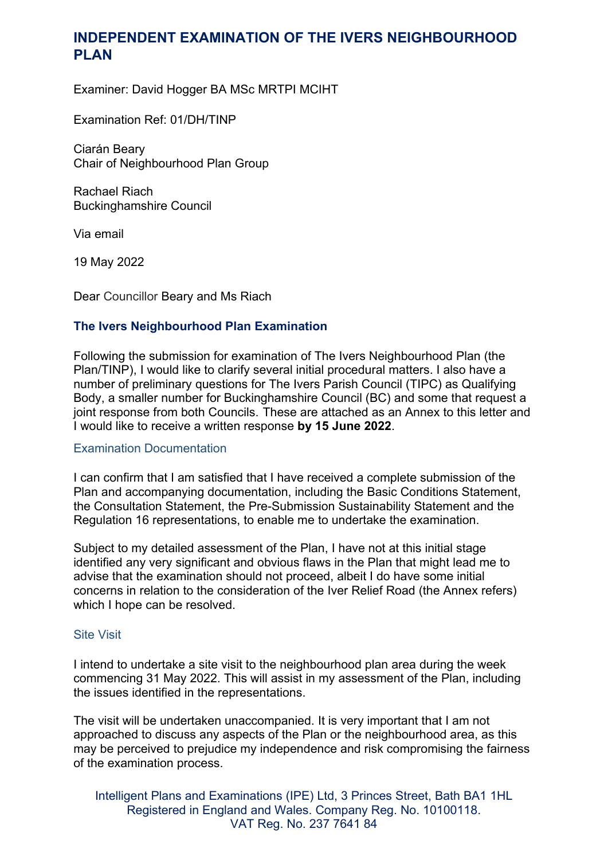# **INDEPENDENT EXAMINATION OF THE IVERS NEIGHBOURHOOD PLAN**

Examiner: David Hogger BA MSc MRTPI MCIHT

Examination Ref: 01/DH/TINP

Ciarán Beary Chair of Neighbourhood Plan Group

Rachael Riach Buckinghamshire Council

Via email

19 May 2022

Dear Councillor Beary and Ms Riach

## **The Ivers Neighbourhood Plan Examination**

Following the submission for examination of The Ivers Neighbourhood Plan (the Plan/TINP), I would like to clarify several initial procedural matters. I also have a number of preliminary questions for The Ivers Parish Council (TIPC) as Qualifying Body, a smaller number for Buckinghamshire Council (BC) and some that request a joint response from both Councils. These are attached as an Annex to this letter and I would like to receive a written response **by 15 June 2022**.

#### Examination Documentation

I can confirm that I am satisfied that I have received a complete submission of the Plan and accompanying documentation, including the Basic Conditions Statement, the Consultation Statement, the Pre-Submission Sustainability Statement and the Regulation 16 representations, to enable me to undertake the examination.

Subject to my detailed assessment of the Plan, I have not at this initial stage identified any very significant and obvious flaws in the Plan that might lead me to advise that the examination should not proceed, albeit I do have some initial concerns in relation to the consideration of the Iver Relief Road (the Annex refers) which I hope can be resolved.

#### Site Visit

I intend to undertake a site visit to the neighbourhood plan area during the week commencing 31 May 2022. This will assist in my assessment of the Plan, including the issues identified in the representations.

The visit will be undertaken unaccompanied. It is very important that I am not approached to discuss any aspects of the Plan or the neighbourhood area, as this may be perceived to prejudice my independence and risk compromising the fairness of the examination process.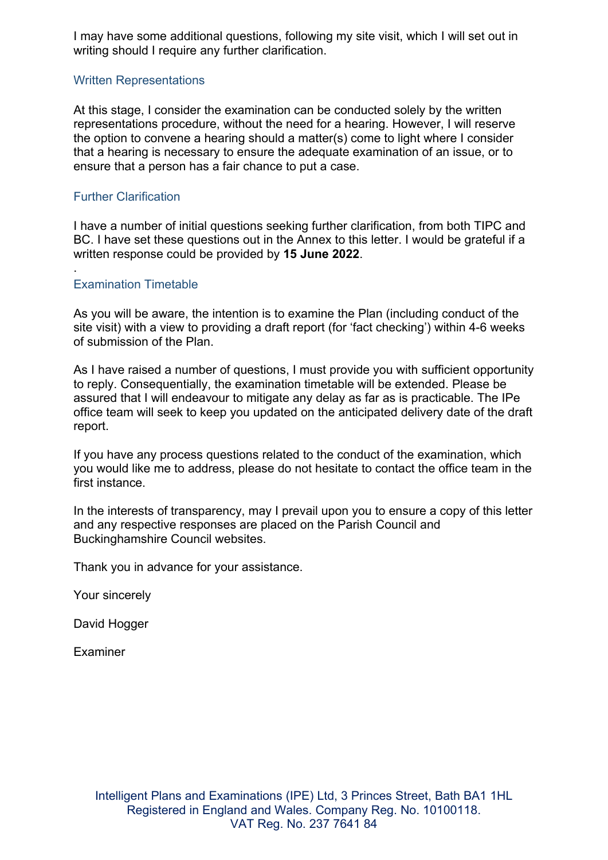I may have some additional questions, following my site visit, which I will set out in writing should I require any further clarification.

### Written Representations

At this stage, I consider the examination can be conducted solely by the written representations procedure, without the need for a hearing. However, I will reserve the option to convene a hearing should a matter(s) come to light where I consider that a hearing is necessary to ensure the adequate examination of an issue, or to ensure that a person has a fair chance to put a case.

### Further Clarification

I have a number of initial questions seeking further clarification, from both TIPC and BC. I have set these questions out in the Annex to this letter. I would be grateful if a written response could be provided by **15 June 2022**.

## Examination Timetable

.

As you will be aware, the intention is to examine the Plan (including conduct of the site visit) with a view to providing a draft report (for 'fact checking') within 4-6 weeks of submission of the Plan.

As I have raised a number of questions, I must provide you with sufficient opportunity to reply. Consequentially, the examination timetable will be extended. Please be assured that I will endeavour to mitigate any delay as far as is practicable. The IPe office team will seek to keep you updated on the anticipated delivery date of the draft report.

If you have any process questions related to the conduct of the examination, which you would like me to address, please do not hesitate to contact the office team in the first instance.

In the interests of transparency, may I prevail upon you to ensure a copy of this letter and any respective responses are placed on the Parish Council and Buckinghamshire Council websites.

Thank you in advance for your assistance.

Your sincerely

David Hogger

**Examiner**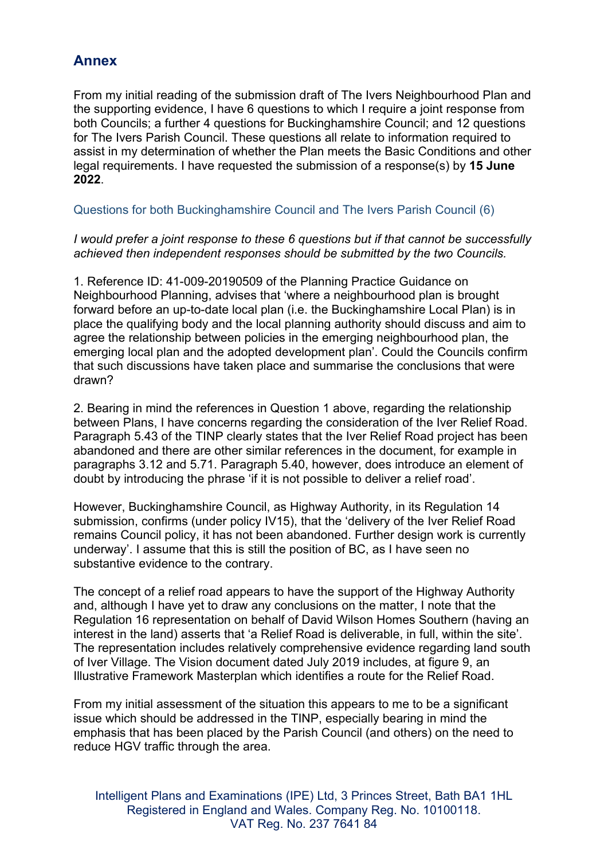# **Annex**

From my initial reading of the submission draft of The Ivers Neighbourhood Plan and the supporting evidence, I have 6 questions to which I require a joint response from both Councils; a further 4 questions for Buckinghamshire Council; and 12 questions for The Ivers Parish Council. These questions all relate to information required to assist in my determination of whether the Plan meets the Basic Conditions and other legal requirements. I have requested the submission of a response(s) by **15 June 2022**.

## Questions for both Buckinghamshire Council and The Ivers Parish Council (6)

### *I would prefer a joint response to these 6 questions but if that cannot be successfully achieved then independent responses should be submitted by the two Councils.*

1. Reference ID: 41-009-20190509 of the Planning Practice Guidance on Neighbourhood Planning, advises that 'where a neighbourhood plan is brought forward before an up-to-date local plan (i.e. the Buckinghamshire Local Plan) is in place the qualifying body and the local planning authority should discuss and aim to agree the relationship between policies in the emerging neighbourhood plan, the emerging local plan and the adopted development plan'. Could the Councils confirm that such discussions have taken place and summarise the conclusions that were drawn?

2. Bearing in mind the references in Question 1 above, regarding the relationship between Plans, I have concerns regarding the consideration of the Iver Relief Road. Paragraph 5.43 of the TINP clearly states that the Iver Relief Road project has been abandoned and there are other similar references in the document, for example in paragraphs 3.12 and 5.71. Paragraph 5.40, however, does introduce an element of doubt by introducing the phrase 'if it is not possible to deliver a relief road'.

However, Buckinghamshire Council, as Highway Authority, in its Regulation 14 submission, confirms (under policy IV15), that the 'delivery of the Iver Relief Road remains Council policy, it has not been abandoned. Further design work is currently underway'. I assume that this is still the position of BC, as I have seen no substantive evidence to the contrary.

The concept of a relief road appears to have the support of the Highway Authority and, although I have yet to draw any conclusions on the matter, I note that the Regulation 16 representation on behalf of David Wilson Homes Southern (having an interest in the land) asserts that 'a Relief Road is deliverable, in full, within the site'. The representation includes relatively comprehensive evidence regarding land south of Iver Village. The Vision document dated July 2019 includes, at figure 9, an Illustrative Framework Masterplan which identifies a route for the Relief Road.

From my initial assessment of the situation this appears to me to be a significant issue which should be addressed in the TINP, especially bearing in mind the emphasis that has been placed by the Parish Council (and others) on the need to reduce HGV traffic through the area.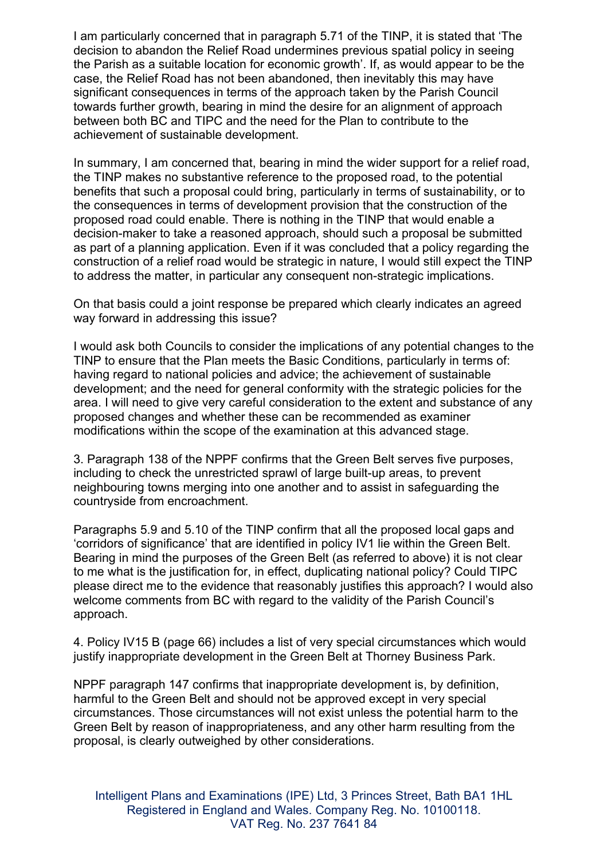I am particularly concerned that in paragraph 5.71 of the TINP, it is stated that 'The decision to abandon the Relief Road undermines previous spatial policy in seeing the Parish as a suitable location for economic growth'. If, as would appear to be the case, the Relief Road has not been abandoned, then inevitably this may have significant consequences in terms of the approach taken by the Parish Council towards further growth, bearing in mind the desire for an alignment of approach between both BC and TIPC and the need for the Plan to contribute to the achievement of sustainable development.

In summary, I am concerned that, bearing in mind the wider support for a relief road, the TINP makes no substantive reference to the proposed road, to the potential benefits that such a proposal could bring, particularly in terms of sustainability, or to the consequences in terms of development provision that the construction of the proposed road could enable. There is nothing in the TINP that would enable a decision-maker to take a reasoned approach, should such a proposal be submitted as part of a planning application. Even if it was concluded that a policy regarding the construction of a relief road would be strategic in nature, I would still expect the TINP to address the matter, in particular any consequent non-strategic implications.

On that basis could a joint response be prepared which clearly indicates an agreed way forward in addressing this issue?

I would ask both Councils to consider the implications of any potential changes to the TINP to ensure that the Plan meets the Basic Conditions, particularly in terms of: having regard to national policies and advice; the achievement of sustainable development; and the need for general conformity with the strategic policies for the area. I will need to give very careful consideration to the extent and substance of any proposed changes and whether these can be recommended as examiner modifications within the scope of the examination at this advanced stage.

3. Paragraph 138 of the NPPF confirms that the Green Belt serves five purposes, including to check the unrestricted sprawl of large built-up areas, to prevent neighbouring towns merging into one another and to assist in safeguarding the countryside from encroachment.

Paragraphs 5.9 and 5.10 of the TINP confirm that all the proposed local gaps and 'corridors of significance' that are identified in policy IV1 lie within the Green Belt. Bearing in mind the purposes of the Green Belt (as referred to above) it is not clear to me what is the justification for, in effect, duplicating national policy? Could TIPC please direct me to the evidence that reasonably justifies this approach? I would also welcome comments from BC with regard to the validity of the Parish Council's approach.

4. Policy IV15 B (page 66) includes a list of very special circumstances which would justify inappropriate development in the Green Belt at Thorney Business Park.

NPPF paragraph 147 confirms that inappropriate development is, by definition, harmful to the Green Belt and should not be approved except in very special circumstances. Those circumstances will not exist unless the potential harm to the Green Belt by reason of inappropriateness, and any other harm resulting from the proposal, is clearly outweighed by other considerations.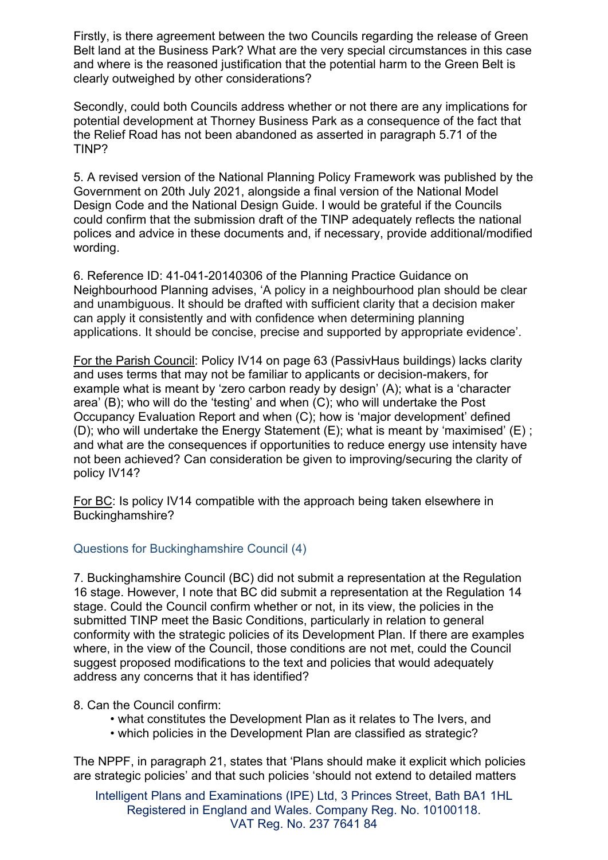Firstly, is there agreement between the two Councils regarding the release of Green Belt land at the Business Park? What are the very special circumstances in this case and where is the reasoned justification that the potential harm to the Green Belt is clearly outweighed by other considerations?

Secondly, could both Councils address whether or not there are any implications for potential development at Thorney Business Park as a consequence of the fact that the Relief Road has not been abandoned as asserted in paragraph 5.71 of the TINP?

5. A revised version of the National Planning Policy Framework was published by the Government on 20th July 2021, alongside a final version of the National Model Design Code and the National Design Guide. I would be grateful if the Councils could confirm that the submission draft of the TINP adequately reflects the national polices and advice in these documents and, if necessary, provide additional/modified wording.

6. Reference ID: 41-041-20140306 of the Planning Practice Guidance on Neighbourhood Planning advises, 'A policy in a neighbourhood plan should be clear and unambiguous. It should be drafted with sufficient clarity that a decision maker can apply it consistently and with confidence when determining planning applications. It should be concise, precise and supported by appropriate evidence'.

For the Parish Council: Policy IV14 on page 63 (PassivHaus buildings) lacks clarity and uses terms that may not be familiar to applicants or decision-makers, for example what is meant by 'zero carbon ready by design' (A); what is a 'character area' (B); who will do the 'testing' and when (C); who will undertake the Post Occupancy Evaluation Report and when (C); how is 'major development' defined (D); who will undertake the Energy Statement  $(E)$ ; what is meant by 'maximised'  $(E)$ ; and what are the consequences if opportunities to reduce energy use intensity have not been achieved? Can consideration be given to improving/securing the clarity of policy IV14?

For BC: Is policy IV14 compatible with the approach being taken elsewhere in Buckinghamshire?

## Questions for Buckinghamshire Council (4)

7. Buckinghamshire Council (BC) did not submit a representation at the Regulation 16 stage. However, I note that BC did submit a representation at the Regulation 14 stage. Could the Council confirm whether or not, in its view, the policies in the submitted TINP meet the Basic Conditions, particularly in relation to general conformity with the strategic policies of its Development Plan. If there are examples where, in the view of the Council, those conditions are not met, could the Council suggest proposed modifications to the text and policies that would adequately address any concerns that it has identified?

### 8. Can the Council confirm:

- what constitutes the Development Plan as it relates to The Ivers, and
- which policies in the Development Plan are classified as strategic?

The NPPF, in paragraph 21, states that 'Plans should make it explicit which policies are strategic policies' and that such policies 'should not extend to detailed matters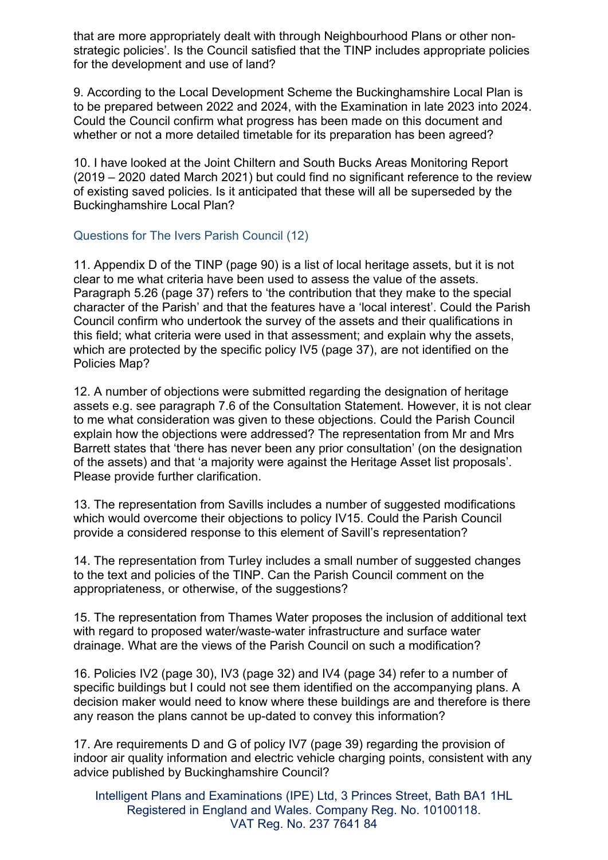that are more appropriately dealt with through Neighbourhood Plans or other nonstrategic policies'. Is the Council satisfied that the TINP includes appropriate policies for the development and use of land?

9. According to the Local Development Scheme the Buckinghamshire Local Plan is to be prepared between 2022 and 2024, with the Examination in late 2023 into 2024. Could the Council confirm what progress has been made on this document and whether or not a more detailed timetable for its preparation has been agreed?

10. I have looked at the Joint Chiltern and South Bucks Areas Monitoring Report (2019 – 2020 dated March 2021) but could find no significant reference to the review of existing saved policies. Is it anticipated that these will all be superseded by the Buckinghamshire Local Plan?

### Questions for The Ivers Parish Council (12)

11. Appendix D of the TINP (page 90) is a list of local heritage assets, but it is not clear to me what criteria have been used to assess the value of the assets. Paragraph 5.26 (page 37) refers to 'the contribution that they make to the special character of the Parish' and that the features have a 'local interest'. Could the Parish Council confirm who undertook the survey of the assets and their qualifications in this field; what criteria were used in that assessment; and explain why the assets, which are protected by the specific policy IV5 (page 37), are not identified on the Policies Map?

12. A number of objections were submitted regarding the designation of heritage assets e.g. see paragraph 7.6 of the Consultation Statement. However, it is not clear to me what consideration was given to these objections. Could the Parish Council explain how the objections were addressed? The representation from Mr and Mrs Barrett states that 'there has never been any prior consultation' (on the designation of the assets) and that 'a majority were against the Heritage Asset list proposals'. Please provide further clarification.

13. The representation from Savills includes a number of suggested modifications which would overcome their objections to policy IV15. Could the Parish Council provide a considered response to this element of Savill's representation?

14. The representation from Turley includes a small number of suggested changes to the text and policies of the TINP. Can the Parish Council comment on the appropriateness, or otherwise, of the suggestions?

15. The representation from Thames Water proposes the inclusion of additional text with regard to proposed water/waste-water infrastructure and surface water drainage. What are the views of the Parish Council on such a modification?

16. Policies IV2 (page 30), IV3 (page 32) and IV4 (page 34) refer to a number of specific buildings but I could not see them identified on the accompanying plans. A decision maker would need to know where these buildings are and therefore is there any reason the plans cannot be up-dated to convey this information?

17. Are requirements D and G of policy IV7 (page 39) regarding the provision of indoor air quality information and electric vehicle charging points, consistent with any advice published by Buckinghamshire Council?